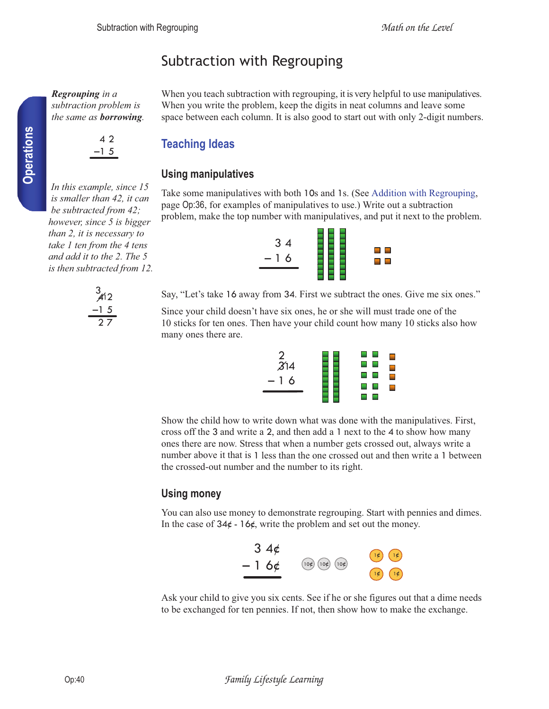# Subtraction with Regrouping

*Regrouping in a subtraction problem is the same as borrowing.* 



### **Teaching Ideas**

### **Using manipulatives**

Take some manipulatives with both 10s and 1s. (See Addition with Regrouping, page Op:36, for examples of manipulatives to use.) Write out a subtraction problem, make the top number with manipulatives, and put it next to the problem.

When you teach subtraction with regrouping, it is very helpful to use manipulatives. When you write the problem, keep the digits in neat columns and leave some space between each column. It is also good to start out with only 2-digit numbers.



Say, "Let's take 16 away from 34. First we subtract the ones. Give me six ones."

Since your child doesn't have six ones, he or she will must trade one of the 10 sticks for ten ones. Then have your child count how many 10 sticks also how many ones there are.



Show the child how to write down what was done with the manipulatives. First, cross off the 3 and write a 2, and then add a 1 next to the 4 to show how many ones there are now. Stress that when a number gets crossed out, always write a number above it that is 1 less than the one crossed out and then write a 1 between the crossed-out number and the number to its right.

### **Using money**

You can also use money to demonstrate regrouping. Start with pennies and dimes. In the case of  $34¢ - 16¢$ , write the problem and set out the money.



Ask your child to give you six cents. See if he or she figures out that a dime needs to be exchanged for ten pennies. If not, then show how to make the exchange.

*In this example, since 15 is smaller than 42, it can be subtracted from 42; however, since 5 is bigger than 2, it is necessary to take 1 ten from the 4 tens and add it to the 2. The 5 is then subtracted from 12.*



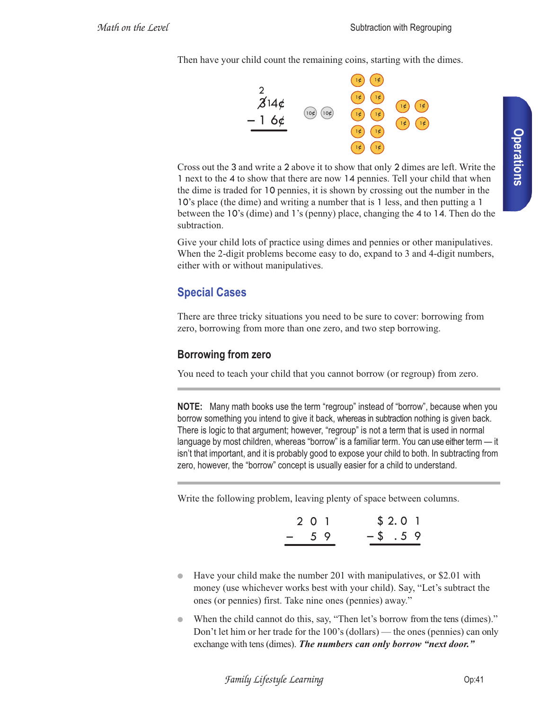Then have your child count the remaining coins, starting with the dimes.



Cross out the 3 and write a 2 above it to show that only 2 dimes are left. Write the 1 next to the 4 to show that there are now 14 pennies. Tell your child that when the dime is traded for 10 pennies, it is shown by crossing out the number in the 10's place (the dime) and writing a number that is 1 less, and then putting a 1 between the 10's (dime) and 1's (penny) place, changing the 4 to 14. Then do the subtraction.

Give your child lots of practice using dimes and pennies or other manipulatives. When the 2-digit problems become easy to do, expand to 3 and 4-digit numbers, either with or without manipulatives.

## **Special Cases**

There are three tricky situations you need to be sure to cover: borrowing from zero, borrowing from more than one zero, and two step borrowing.

### **Borrowing from zero**

You need to teach your child that you cannot borrow (or regroup) from zero.

**NOTE:** Many math books use the term "regroup" instead of "borrow", because when you borrow something you intend to give it back, whereas in subtraction nothing is given back. There is logic to that argument; however, "regroup" is not a term that is used in normal language by most children, whereas "borrow" is a familiar term. You can use either term — it isn't that important, and it is probably good to expose your child to both. In subtracting from zero, however, the "borrow" concept is usually easier for a child to understand.

Write the following problem, leaving plenty of space between columns.

|       | 2 0 1 | \$2.01  |  |
|-------|-------|---------|--|
| $-59$ |       | $-5.59$ |  |

- Have your child make the number 201 with manipulatives, or \$2.01 with money (use whichever works best with your child). Say, "Let's subtract the ones (or pennies) first. Take nine ones (pennies) away."
- When the child cannot do this, say, "Then let's borrow from the tens (dimes)." Don't let him or her trade for the 100's (dollars) — the ones (pennies) can only exchange with tens (dimes). *The numbers can only borrow "next door."*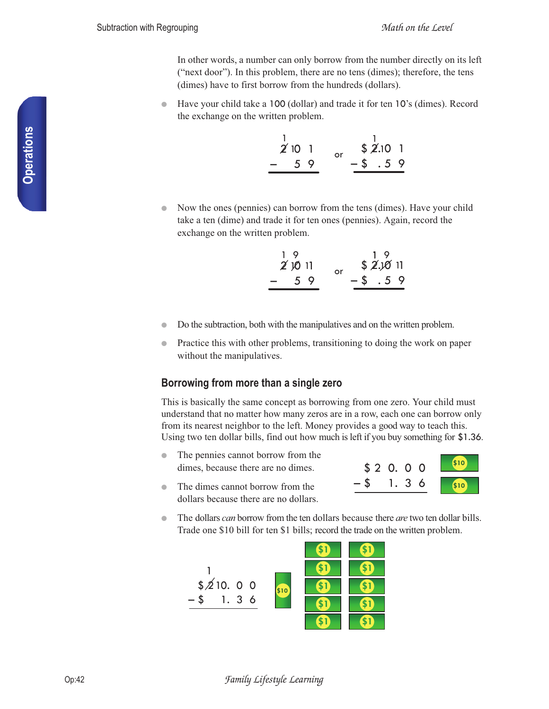In other words, a number can only borrow from the number directly on its left ("next door"). In this problem, there are no tens (dimes); therefore, the tens (dimes) have to first borrow from the hundreds (dollars).

Have your child take a 100 (dollar) and trade it for ten 10's (dimes). Record the exchange on the written problem.

| 2'101     | n۳ | \$2.101       |  |
|-----------|----|---------------|--|
| 59<br>- 1 |    | $-$ \$ $.5$ 9 |  |

• Now the ones (pennies) can borrow from the tens (dimes). Have your child take a ten (dime) and trade it for ten ones (pennies). Again, record the exchange on the written problem.

| 19<br>20011 |    | 19<br>\$2.1011 |         |  |
|-------------|----|----------------|---------|--|
| 59<br>- 1   | o۳ |                | $-5.59$ |  |

- Do the subtraction, both with the manipulatives and on the written problem.
- Practice this with other problems, transitioning to doing the work on paper without the manipulatives.

### **Borrowing from more than a single zero**

This is basically the same concept as borrowing from one zero. Your child must understand that no matter how many zeros are in a row, each one can borrow only from its nearest neighbor to the left. Money provides a good way to teach this. Using two ten dollar bills, find out how much is left if you buy something for \$1.36.

- The pennies cannot borrow from the dimes, because there are no dimes.
- The dimes cannot borrow from the dollars because there are no dollars.



● The dollars *can* borrow from the ten dollars because there *are* two ten dollar bills. Trade one \$10 bill for ten \$1 bills; record the trade on the written problem.